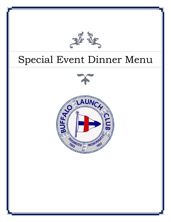

# Special Event Dinner Menu

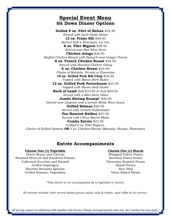# **Special Event Menu Sit Down Dinner Options**

**Grilled 8 oz. Filet of Sirloin** \$29.50 *Served with Herb Garlic Butter* **12 oz. Prime Rib** \$30.95 Served with a Rosemary Au Jus **8 oz. Filet Mignon** \$39.95 *Served over Red Wine Demi* **Chicken Asiago** \$26.95 *Stuffed Chicken Breast with Spinach and Asiago Cheese* **8 oz. French Chicken Breast** \$25.95 *Served with Roasted Chicken Gravy* **6 oz. Chicken Breast** \$24.95 *Choice of Marsala, Piccata or Florentine* **10 oz. Grilled Pork Rib Chop** \$26.95 *Topped with Bacon Herb Butter* **12 oz. Grilled Pork Porterhouse** \$25.95 *Topped with Bacon Herb Butter* **Rack of Lamb** Half \$33.95 or Full \$49.95 *Served with a Mint Demi Glace* **Jumbo Shrimp Scampi**\* \$26.95 *Served over Linguine and a Lemon-White Wine Sauce* **Grilled Salmon** \$26.95 *Served with Tomato Hollandaise* **Pan Roasted Halibut** \$37.95 *Served with Citrus Beurre Blanc* **Combo Entrée** \$42.95 Grilled 6 oz. Filet Mignon, Choice of Grilled Salmon **OR** 4 oz. Chicken Breast *(Marsala, Piccata, Florentine)*

## **Entrée Accompaniments**

#### **Choose One (1) Vegetable**

Green Beans and Carrots Steamed Broccoli and Sundried Tomato Julienned Zucchini and Squash Grilled Asparagus Roasted Brussels Sprouts Grilled Summer Vegetables

#### **Choose One (1) Starch**

Whipped Yukon Potato Bourbon Sweet Potato Parmesan Roasted Potato Baked Potato Rice Pilaf Twice Baked Potato

\*This entrée is not accompanied by a vegetable or starch.

All entrées include table served mixed greens salad, rolls & butter, and coffee & tea service.

*All pricing subject to additional 20% taxable Club Service Charge and appropriate sales tax. BLC Facility Fee may apply.*